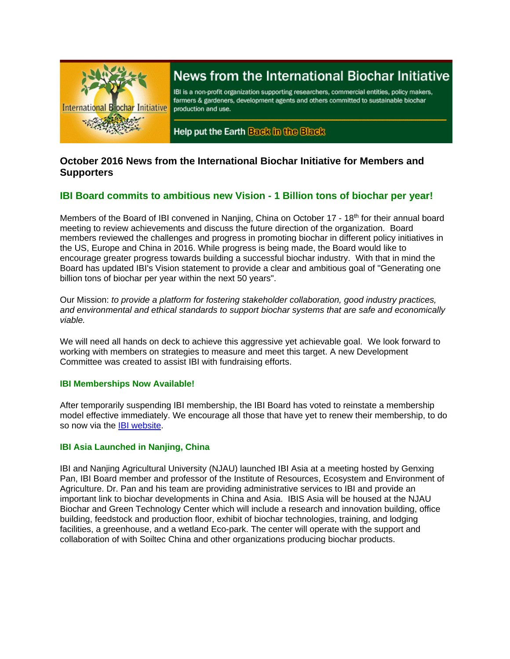

# News from the International Biochar Initiative

IBI is a non-profit organization supporting researchers, commercial entities, policy makers, farmers & gardeners, development agents and others committed to sustainable biochar production and use.

Help put the Earth Back in the Black

## **October 2016 News from the International Biochar Initiative for Members and Supporters**

# **IBI Board commits to ambitious new Vision - 1 Billion tons of biochar per year!**

Members of the Board of IBI convened in Nanjing, China on October 17 - 18<sup>th</sup> for their annual board meeting to review achievements and discuss the future direction of the organization. Board members reviewed the challenges and progress in promoting biochar in different policy initiatives in the US, Europe and China in 2016. While progress is being made, the Board would like to encourage greater progress towards building a successful biochar industry. With that in mind the Board has updated IBI's Vision statement to provide a clear and ambitious goal of "Generating one billion tons of biochar per year within the next 50 years".

Our Mission: *to provide a platform for fostering stakeholder collaboration, good industry practices, and environmental and ethical standards to support biochar systems that are safe and economically viable.*

We will need all hands on deck to achieve this aggressive yet achievable goal. We look forward to working with members on strategies to measure and meet this target. A new Development Committee was created to assist IBI with fundraising efforts.

## **IBI Memberships Now Available!**

After temporarily suspending IBI membership, the IBI Board has voted to reinstate a membership model effective immediately. We encourage all those that have yet to renew their membership, to do so now via the [IBI website.](http://biochar-international.org/join)

## **IBI Asia Launched in Nanjing, China**

IBI and Nanjing Agricultural University (NJAU) launched IBI Asia at a meeting hosted by Genxing Pan, IBI Board member and professor of the Institute of Resources, Ecosystem and Environment of Agriculture. Dr. Pan and his team are providing administrative services to IBI and provide an important link to biochar developments in China and Asia. IBIS Asia will be housed at the NJAU Biochar and Green Technology Center which will include a research and innovation building, office building, feedstock and production floor, exhibit of biochar technologies, training, and lodging facilities, a greenhouse, and a wetland Eco-park. The center will operate with the support and collaboration of with Soiltec China and other organizations producing biochar products.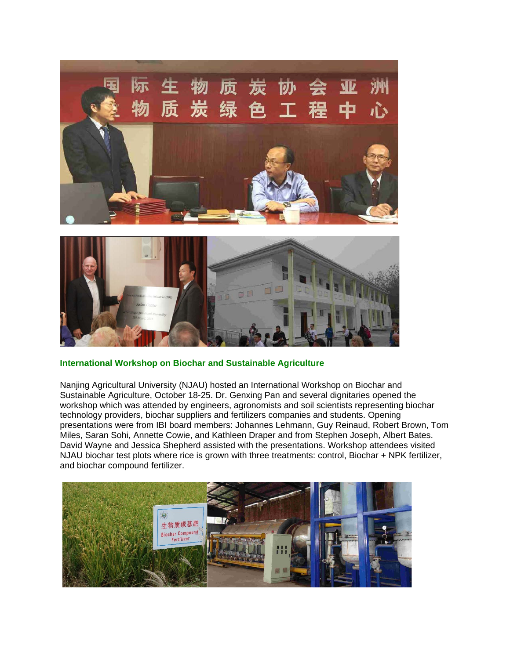



## **International Workshop on Biochar and Sustainable Agriculture**

Nanjing Agricultural University (NJAU) hosted an International Workshop on Biochar and Sustainable Agriculture, October 18-25. Dr. Genxing Pan and several dignitaries opened the workshop which was attended by engineers, agronomists and soil scientists representing biochar technology providers, biochar suppliers and fertilizers companies and students. Opening presentations were from IBI board members: Johannes Lehmann, Guy Reinaud, Robert Brown, Tom Miles, Saran Sohi, Annette Cowie, and Kathleen Draper and from Stephen Joseph, Albert Bates. David Wayne and Jessica Shepherd assisted with the presentations. Workshop attendees visited NJAU biochar test plots where rice is grown with three treatments: control, Biochar + NPK fertilizer, and biochar compound fertilizer.

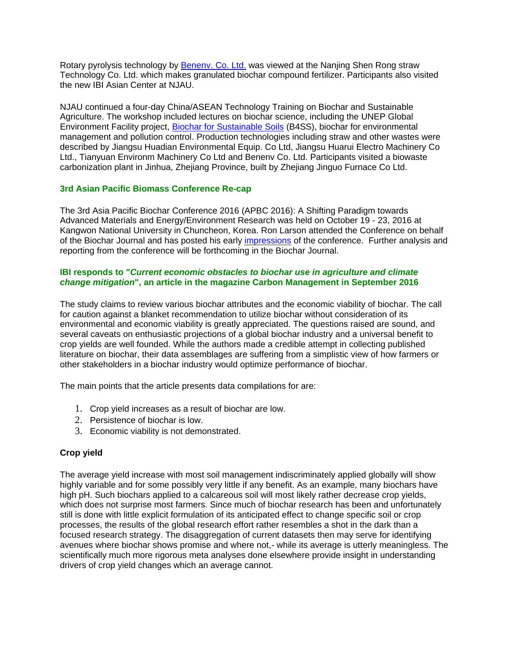Rotary pyrolysis technology by [Benenv. Co. Ltd.](http://en.benenv.com/) was viewed at the Nanjing Shen Rong straw Technology Co. Ltd. which makes granulated biochar compound fertilizer. Participants also visited the new IBI Asian Center at NJAU.

NJAU continued a four-day China/ASEAN Technology Training on Biochar and Sustainable Agriculture. The workshop included lectures on biochar science, including the UNEP Global Environment Facility project, [Biochar for Sustainable Soils](http://biochar.international/) (B4SS), biochar for environmental management and pollution control. Production technologies including straw and other wastes were described by Jiangsu Huadian Environmental Equip. Co Ltd, Jiangsu Huarui Electro Machinery Co Ltd., Tianyuan Environm Machinery Co Ltd and Benenv Co. Ltd. Participants visited a biowaste carbonization plant in Jinhua, Zhejiang Province, built by Zhejiang Jinguo Furnace Co Ltd.

## **3rd Asian Pacific Biomass Conference Re-cap**

The 3rd Asia Pacific Biochar Conference 2016 (APBC 2016): A Shifting Paradigm towards Advanced Materials and Energy/Environment Research was held on October 19 - 23, 2016 at Kangwon National University in Chuncheon, Korea. Ron Larson attended the Conference on behalf of the Biochar Journal and has posted his early [impressions](https://www.biochar-journal.org/en/ct/83-Asia-Pacific-Biochar-Conference-2016) of the conference. Further analysis and reporting from the conference will be forthcoming in the Biochar Journal.

## **IBI responds to "***Current economic obstacles to biochar use in agriculture and climate change mitigation***", an article in the magazine Carbon Management in September 2016**

The study claims to review various biochar attributes and the economic viability of biochar. The call for caution against a blanket recommendation to utilize biochar without consideration of its environmental and economic viability is greatly appreciated. The questions raised are sound, and several caveats on enthusiastic projections of a global biochar industry and a universal benefit to crop yields are well founded. While the authors made a credible attempt in collecting published literature on biochar, their data assemblages are suffering from a simplistic view of how farmers or other stakeholders in a biochar industry would optimize performance of biochar.

The main points that the article presents data compilations for are:

- 1. Crop yield increases as a result of biochar are low.
- 2. Persistence of biochar is low.
- 3. Economic viability is not demonstrated.

## **Crop yield**

The average yield increase with most soil management indiscriminately applied globally will show highly variable and for some possibly very little if any benefit. As an example, many biochars have high pH. Such biochars applied to a calcareous soil will most likely rather decrease crop yields, which does not surprise most farmers. Since much of biochar research has been and unfortunately still is done with little explicit formulation of its anticipated effect to change specific soil or crop processes, the results of the global research effort rather resembles a shot in the dark than a focused research strategy. The disaggregation of current datasets then may serve for identifying avenues where biochar shows promise and where not,- while its average is utterly meaningless. The scientifically much more rigorous meta analyses done elsewhere provide insight in understanding drivers of crop yield changes which an average cannot.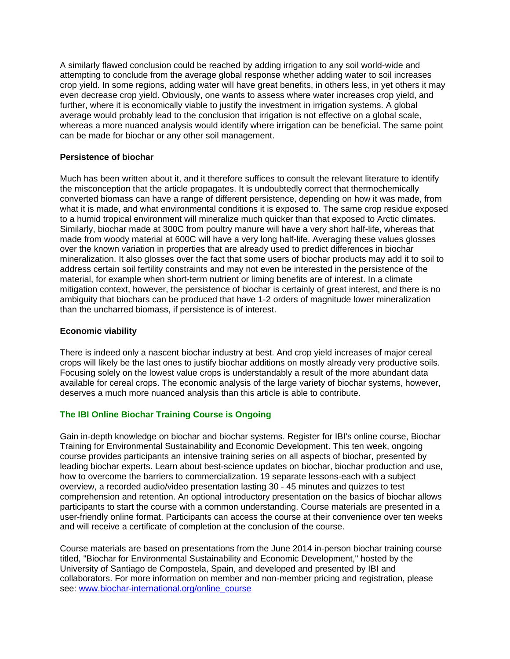A similarly flawed conclusion could be reached by adding irrigation to any soil world-wide and attempting to conclude from the average global response whether adding water to soil increases crop yield. In some regions, adding water will have great benefits, in others less, in yet others it may even decrease crop yield. Obviously, one wants to assess where water increases crop yield, and further, where it is economically viable to justify the investment in irrigation systems. A global average would probably lead to the conclusion that irrigation is not effective on a global scale, whereas a more nuanced analysis would identify where irrigation can be beneficial. The same point can be made for biochar or any other soil management.

## **Persistence of biochar**

Much has been written about it, and it therefore suffices to consult the relevant literature to identify the misconception that the article propagates. It is undoubtedly correct that thermochemically converted biomass can have a range of different persistence, depending on how it was made, from what it is made, and what environmental conditions it is exposed to. The same crop residue exposed to a humid tropical environment will mineralize much quicker than that exposed to Arctic climates. Similarly, biochar made at 300C from poultry manure will have a very short half-life, whereas that made from woody material at 600C will have a very long half-life. Averaging these values glosses over the known variation in properties that are already used to predict differences in biochar mineralization. It also glosses over the fact that some users of biochar products may add it to soil to address certain soil fertility constraints and may not even be interested in the persistence of the material, for example when short-term nutrient or liming benefits are of interest. In a climate mitigation context, however, the persistence of biochar is certainly of great interest, and there is no ambiguity that biochars can be produced that have 1-2 orders of magnitude lower mineralization than the uncharred biomass, if persistence is of interest.

## **Economic viability**

There is indeed only a nascent biochar industry at best. And crop yield increases of major cereal crops will likely be the last ones to justify biochar additions on mostly already very productive soils. Focusing solely on the lowest value crops is understandably a result of the more abundant data available for cereal crops. The economic analysis of the large variety of biochar systems, however, deserves a much more nuanced analysis than this article is able to contribute.

## **The IBI Online Biochar Training Course is Ongoing**

Gain in-depth knowledge on biochar and biochar systems. Register for IBI's online course, Biochar Training for Environmental Sustainability and Economic Development. This ten week, ongoing course provides participants an intensive training series on all aspects of biochar, presented by leading biochar experts. Learn about best-science updates on biochar, biochar production and use, how to overcome the barriers to commercialization. 19 separate lessons-each with a subject overview, a recorded audio/video presentation lasting 30 - 45 minutes and quizzes to test comprehension and retention. An optional introductory presentation on the basics of biochar allows participants to start the course with a common understanding. Course materials are presented in a user-friendly online format. Participants can access the course at their convenience over ten weeks and will receive a certificate of completion at the conclusion of the course.

Course materials are based on presentations from the June 2014 in-person biochar training course titled, "Biochar for Environmental Sustainability and Economic Development," hosted by the University of Santiago de Compostela, Spain, and developed and presented by IBI and collaborators. For more information on member and non-member pricing and registration, please see: [www.biochar-international.org/online\\_course](http://www.biochar-international.org/online_course)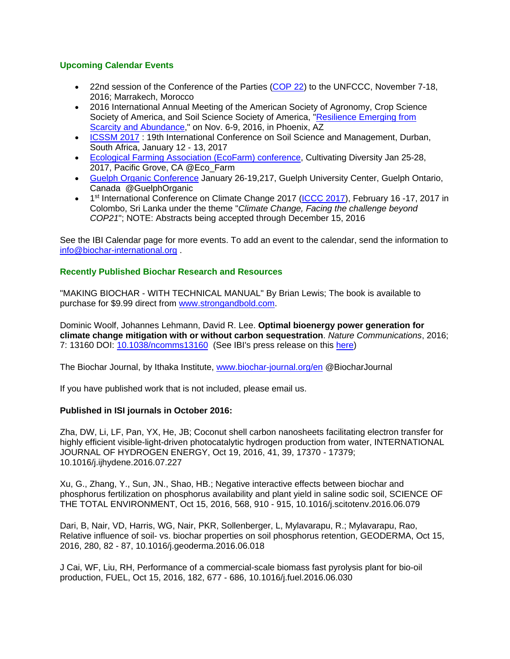## **Upcoming Calendar Events**

- 22nd session of the Conference of the Parties [\(COP 22\)](http://cop22-morocco.com/) to the UNFCCC, November 7-18, 2016; Marrakech, Morocco
- 2016 International Annual Meeting of the American Society of Agronomy, Crop Science Society of America, and Soil Science Society of America, "Resilience Emerging from [Scarcity and Abundance,](https://www.acsmeetings.org/)" on Nov. 6-9, 2016, in Phoenix, AZ
- [ICSSM 2017](https://www.waset.org/conference/2017/01/durban/ICSSM): 19th International Conference on Soil Science and Management, Durban, South Africa, January 12 - 13, 2017
- [Ecological Farming Association \(EcoFarm\) conference,](https://eco-farm.org/conference) Cultivating Diversity Jan 25-28, 2017, Pacific Grove, CA @Eco\_Farm
- [Guelph Organic Conference](http://www.guelphorganicconf.ca/) January 26-19,217, Guelph University Center, Guelph Ontario, Canada @GuelphOrganic
- 1<sup>st</sup> International Conference on Climate Change 2017 [\(ICCC 2017\)](http://climatechangeconferences.com/), February 16 -17, 2017 in Colombo, Sri Lanka under the theme "*Climate Change, Facing the challenge beyond COP21*"; NOTE: Abstracts being accepted through December 15, 2016

See the IBI Calendar page for more events. To add an event to the calendar, send the information to [info@biochar-international.org](mailto:info@biochar-international.org) .

## **Recently Published Biochar Research and Resources**

"MAKING BIOCHAR - WITH TECHNICAL MANUAL" By Brian Lewis; The book is available to purchase for \$9.99 direct from [www.strongandbold.com.](http://www.strongandbold.com/)

Dominic Woolf, Johannes Lehmann, David R. Lee. **Optimal bioenergy power generation for climate change mitigation with or without carbon sequestration**. *Nature Communications*, 2016; 7: 13160 DOI: [10.1038/ncomms13160](http://dx.doi.org/10.1038/ncomms13160) (See IBI's press release on this [here\)](http://www.biochar-international.org/node/8705)

The Biochar Journal, by Ithaka Institute, [www.biochar-journal.org/en](http://www.biochar-journal.org/en) @BiocharJournal

If you have published work that is not included, please email us.

## **Published in ISI journals in October 2016:**

Zha, DW, Li, LF, Pan, YX, He, JB; Coconut shell carbon nanosheets facilitating electron transfer for highly efficient visible-light-driven photocatalytic hydrogen production from water, INTERNATIONAL JOURNAL OF HYDROGEN ENERGY, Oct 19, 2016, 41, 39, 17370 - 17379; 10.1016/j.ijhydene.2016.07.227

Xu, G., Zhang, Y., Sun, JN., Shao, HB.; Negative interactive effects between biochar and phosphorus fertilization on phosphorus availability and plant yield in saline sodic soil, SCIENCE OF THE TOTAL ENVIRONMENT, Oct 15, 2016, 568, 910 - 915, 10.1016/j.scitotenv.2016.06.079

Dari, B, Nair, VD, Harris, WG, Nair, PKR, Sollenberger, L, Mylavarapu, R.; Mylavarapu, Rao, Relative influence of soil- vs. biochar properties on soil phosphorus retention, GEODERMA, Oct 15, 2016, 280, 82 - 87, 10.1016/j.geoderma.2016.06.018

J Cai, WF, Liu, RH, Performance of a commercial-scale biomass fast pyrolysis plant for bio-oil production, FUEL, Oct 15, 2016, 182, 677 - 686, 10.1016/j.fuel.2016.06.030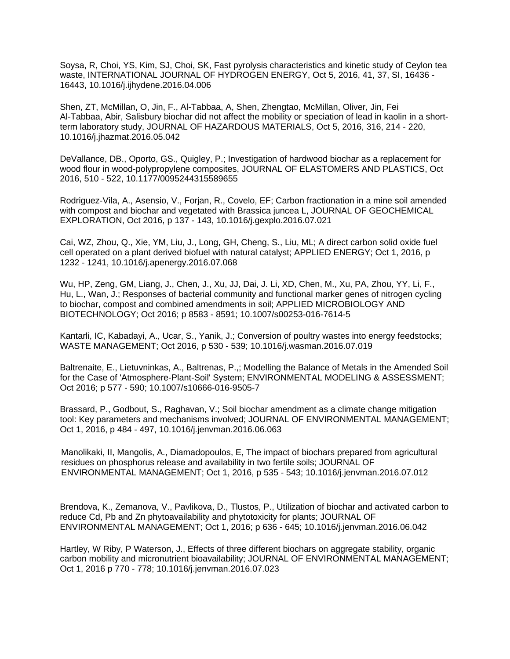Soysa, R, Choi, YS, Kim, SJ, Choi, SK, Fast pyrolysis characteristics and kinetic study of Ceylon tea waste, INTERNATIONAL JOURNAL OF HYDROGEN ENERGY, Oct 5, 2016, 41, 37, SI, 16436 - 16443, 10.1016/j.ijhydene.2016.04.006

Shen, ZT, McMillan, O, Jin, F., Al-Tabbaa, A, Shen, Zhengtao, McMillan, Oliver, Jin, Fei Al-Tabbaa, Abir, Salisbury biochar did not affect the mobility or speciation of lead in kaolin in a shortterm laboratory study, JOURNAL OF HAZARDOUS MATERIALS, Oct 5, 2016, 316, 214 - 220, 10.1016/j.jhazmat.2016.05.042

DeVallance, DB., Oporto, GS., Quigley, P.; Investigation of hardwood biochar as a replacement for wood flour in wood-polypropylene composites, JOURNAL OF ELASTOMERS AND PLASTICS, Oct 2016, 510 - 522, 10.1177/0095244315589655

Rodriguez-Vila, A., Asensio, V., Forjan, R., Covelo, EF; Carbon fractionation in a mine soil amended with compost and biochar and vegetated with Brassica juncea L, JOURNAL OF GEOCHEMICAL EXPLORATION, Oct 2016, p 137 - 143, 10.1016/j.gexplo.2016.07.021

Cai, WZ, Zhou, Q., Xie, YM, Liu, J., Long, GH, Cheng, S., Liu, ML; A direct carbon solid oxide fuel cell operated on a plant derived biofuel with natural catalyst; APPLIED ENERGY; Oct 1, 2016, p 1232 - 1241, 10.1016/j.apenergy.2016.07.068

Wu, HP, Zeng, GM, Liang, J., Chen, J., Xu, JJ, Dai, J. Li, XD, Chen, M., Xu, PA, Zhou, YY, Li, F., Hu, L., Wan, J.; Responses of bacterial community and functional marker genes of nitrogen cycling to biochar, compost and combined amendments in soil; APPLIED MICROBIOLOGY AND BIOTECHNOLOGY; Oct 2016; p 8583 - 8591; 10.1007/s00253-016-7614-5

Kantarli, IC, Kabadayi, A., Ucar, S., Yanik, J.; Conversion of poultry wastes into energy feedstocks; WASTE MANAGEMENT; Oct 2016, p 530 - 539; 10.1016/j.wasman.2016.07.019

Baltrenaite, E., Lietuvninkas, A., Baltrenas, P.,; Modelling the Balance of Metals in the Amended Soil for the Case of 'Atmosphere-Plant-Soil' System; ENVIRONMENTAL MODELING & ASSESSMENT; Oct 2016; p 577 - 590; 10.1007/s10666-016-9505-7

Brassard, P., Godbout, S., Raghavan, V.; Soil biochar amendment as a climate change mitigation tool: Key parameters and mechanisms involved; JOURNAL OF ENVIRONMENTAL MANAGEMENT; Oct 1, 2016, p 484 - 497, 10.1016/j.jenvman.2016.06.063

Manolikaki, II, Mangolis, A., Diamadopoulos, E, The impact of biochars prepared from agricultural residues on phosphorus release and availability in two fertile soils; JOURNAL OF ENVIRONMENTAL MANAGEMENT; Oct 1, 2016, p 535 - 543; 10.1016/j.jenvman.2016.07.012

Brendova, K., Zemanova, V., Pavlikova, D., Tlustos, P., Utilization of biochar and activated carbon to reduce Cd, Pb and Zn phytoavailability and phytotoxicity for plants; JOURNAL OF ENVIRONMENTAL MANAGEMENT; Oct 1, 2016; p 636 - 645; 10.1016/j.jenvman.2016.06.042

Hartley, W Riby, P Waterson, J., Effects of three different biochars on aggregate stability, organic carbon mobility and micronutrient bioavailability; JOURNAL OF ENVIRONMENTAL MANAGEMENT; Oct 1, 2016 p 770 - 778; 10.1016/j.jenvman.2016.07.023